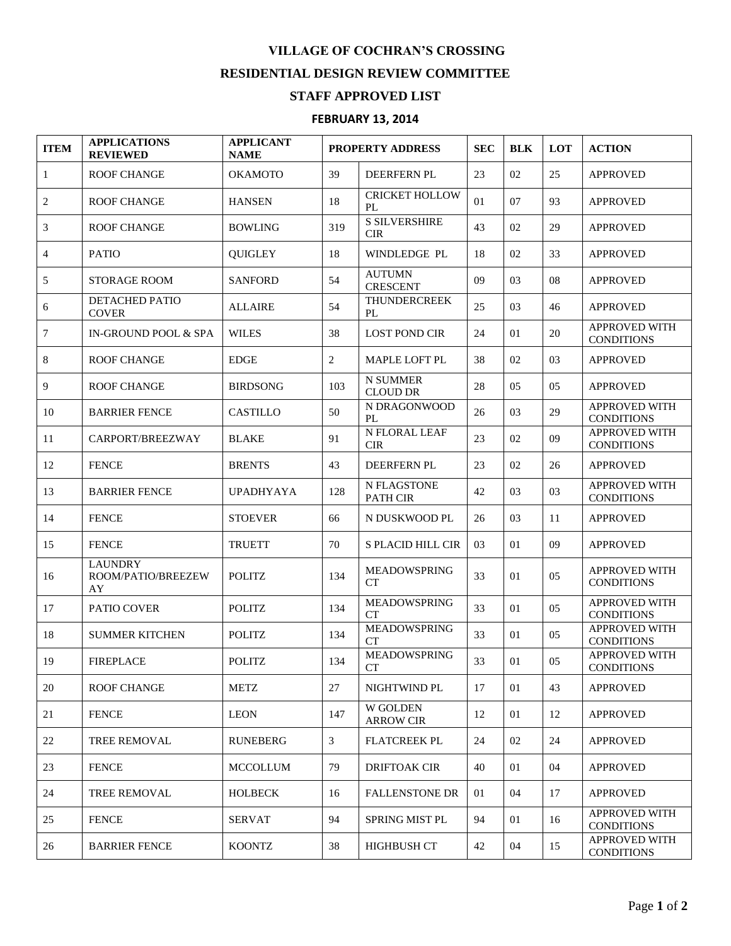## **VILLAGE OF COCHRAN'S CROSSING RESIDENTIAL DESIGN REVIEW COMMITTEE**

## **STAFF APPROVED LIST**

## **FEBRUARY 13, 2014**

| <b>ITEM</b>    | <b>APPLICATIONS</b><br><b>REVIEWED</b>     | <b>APPLICANT</b><br><b>NAME</b> | <b>PROPERTY ADDRESS</b> |                                     | <b>SEC</b> | <b>BLK</b> | <b>LOT</b>     | <b>ACTION</b>                             |
|----------------|--------------------------------------------|---------------------------------|-------------------------|-------------------------------------|------------|------------|----------------|-------------------------------------------|
| $\mathbf{1}$   | <b>ROOF CHANGE</b>                         | ОКАМОТО                         | 39                      | DEERFERN PL                         | 23         | 02         | 25             | <b>APPROVED</b>                           |
| 2              | <b>ROOF CHANGE</b>                         | <b>HANSEN</b>                   | 18                      | <b>CRICKET HOLLOW</b><br>PL         | 01         | 07         | 93             | <b>APPROVED</b>                           |
| 3              | <b>ROOF CHANGE</b>                         | <b>BOWLING</b>                  | 319                     | <b>S SILVERSHIRE</b><br><b>CIR</b>  | 43         | 02         | 29             | <b>APPROVED</b>                           |
| $\overline{4}$ | <b>PATIO</b>                               | <b>QUIGLEY</b>                  | 18                      | <b>WINDLEDGE PL</b>                 | 18         | 02         | 33             | <b>APPROVED</b>                           |
| 5              | <b>STORAGE ROOM</b>                        | <b>SANFORD</b>                  | 54                      | <b>AUTUMN</b><br><b>CRESCENT</b>    | 09         | 03         | 08             | <b>APPROVED</b>                           |
| 6              | <b>DETACHED PATIO</b><br><b>COVER</b>      | <b>ALLAIRE</b>                  | 54                      | <b>THUNDERCREEK</b><br>PL           | 25         | 03         | 46             | <b>APPROVED</b>                           |
| 7              | IN-GROUND POOL & SPA                       | <b>WILES</b>                    | 38                      | <b>LOST POND CIR</b>                | 24         | 01         | 20             | APPROVED WITH<br><b>CONDITIONS</b>        |
| 8              | <b>ROOF CHANGE</b>                         | <b>EDGE</b>                     | $\overline{2}$          | MAPLE LOFT PL                       | 38         | 02         | 03             | <b>APPROVED</b>                           |
| 9              | <b>ROOF CHANGE</b>                         | <b>BIRDSONG</b>                 | 103                     | <b>N SUMMER</b><br><b>CLOUD DR</b>  | 28         | 05         | 05             | <b>APPROVED</b>                           |
| 10             | <b>BARRIER FENCE</b>                       | <b>CASTILLO</b>                 | 50                      | N DRAGONWOOD<br>PL                  | 26         | 03         | 29             | APPROVED WITH<br><b>CONDITIONS</b>        |
| 11             | CARPORT/BREEZWAY                           | <b>BLAKE</b>                    | 91                      | N FLORAL LEAF<br><b>CIR</b>         | 23         | 02         | 09             | <b>APPROVED WITH</b><br><b>CONDITIONS</b> |
| 12             | <b>FENCE</b>                               | <b>BRENTS</b>                   | 43                      | DEERFERN PL                         | 23         | 02         | 26             | <b>APPROVED</b>                           |
| 13             | <b>BARRIER FENCE</b>                       | <b>UPADHYAYA</b>                | 128                     | N FLAGSTONE<br>PATH CIR             | 42         | 03         | 03             | APPROVED WITH<br><b>CONDITIONS</b>        |
| 14             | <b>FENCE</b>                               | <b>STOEVER</b>                  | 66                      | N DUSKWOOD PL                       | 26         | 03         | 11             | <b>APPROVED</b>                           |
| 15             | <b>FENCE</b>                               | <b>TRUETT</b>                   | 70                      | S PLACID HILL CIR                   | 03         | 01         | 09             | <b>APPROVED</b>                           |
| 16             | <b>LAUNDRY</b><br>ROOM/PATIO/BREEZEW<br>AY | <b>POLITZ</b>                   | 134                     | <b>MEADOWSPRING</b><br>CT           | 33         | 01         | 05             | <b>APPROVED WITH</b><br><b>CONDITIONS</b> |
| 17             | PATIO COVER                                | <b>POLITZ</b>                   | 134                     | MEADOWSPRING<br>CT                  | 33         | 01         | 05             | <b>APPROVED WITH</b><br><b>CONDITIONS</b> |
| 18             | <b>SUMMER KITCHEN</b>                      | <b>POLITZ</b>                   | 134                     | <b>MEADOWSPRING</b><br><b>CT</b>    | 33         | 01         | 0 <sub>5</sub> | APPROVED WITH<br><b>CONDITIONS</b>        |
| 19             | <b>FIREPLACE</b>                           | <b>POLITZ</b>                   | 134                     | MEADOWSPRING<br>CT                  | 33         | 01         | 05             | APPROVED WITH<br><b>CONDITIONS</b>        |
| 20             | <b>ROOF CHANGE</b>                         | <b>METZ</b>                     | 27                      | NIGHTWIND PL                        | 17         | 01         | 43             | APPROVED                                  |
| 21             | <b>FENCE</b>                               | <b>LEON</b>                     | 147                     | <b>W GOLDEN</b><br><b>ARROW CIR</b> | 12         | 01         | 12             | <b>APPROVED</b>                           |
| 22             | <b>TREE REMOVAL</b>                        | <b>RUNEBERG</b>                 | 3                       | <b>FLATCREEK PL</b>                 | 24         | 02         | 24             | <b>APPROVED</b>                           |
| 23             | <b>FENCE</b>                               | <b>MCCOLLUM</b>                 | 79                      | DRIFTOAK CIR                        | 40         | 01         | 04             | APPROVED                                  |
| 24             | <b>TREE REMOVAL</b>                        | <b>HOLBECK</b>                  | 16                      | <b>FALLENSTONE DR</b>               | 01         | 04         | 17             | <b>APPROVED</b>                           |
| 25             | <b>FENCE</b>                               | <b>SERVAT</b>                   | 94                      | <b>SPRING MIST PL</b>               | 94         | 01         | 16             | <b>APPROVED WITH</b><br><b>CONDITIONS</b> |
| 26             | <b>BARRIER FENCE</b>                       | <b>KOONTZ</b>                   | 38                      | <b>HIGHBUSH CT</b>                  | 42         | 04         | 15             | APPROVED WITH<br><b>CONDITIONS</b>        |